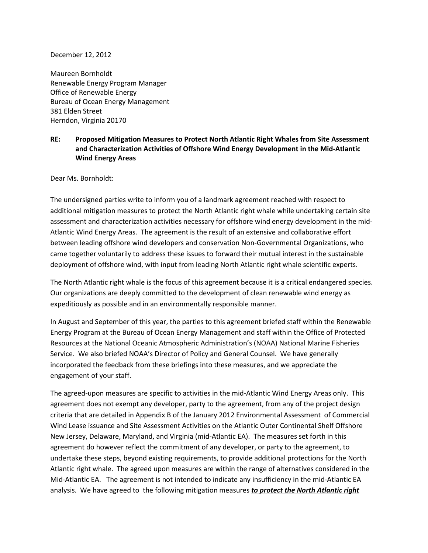#### December 12, 2012

Maureen Bornholdt Renewable Energy Program Manager Office of Renewable Energy Bureau of Ocean Energy Management 381 Elden Street Herndon, Virginia 20170

## **RE: Proposed Mitigation Measures to Protect North Atlantic Right Whales from Site Assessment and Characterization Activities of Offshore Wind Energy Development in the Mid-Atlantic Wind Energy Areas**

Dear Ms. Bornholdt:

The undersigned parties write to inform you of a landmark agreement reached with respect to additional mitigation measures to protect the North Atlantic right whale while undertaking certain site assessment and characterization activities necessary for offshore wind energy development in the mid-Atlantic Wind Energy Areas. The agreement is the result of an extensive and collaborative effort between leading offshore wind developers and conservation Non-Governmental Organizations, who came together voluntarily to address these issues to forward their mutual interest in the sustainable deployment of offshore wind, with input from leading North Atlantic right whale scientific experts.

The North Atlantic right whale is the focus of this agreement because it is a critical endangered species. Our organizations are deeply committed to the development of clean renewable wind energy as expeditiously as possible and in an environmentally responsible manner.

In August and September of this year, the parties to this agreement briefed staff within the Renewable Energy Program at the Bureau of Ocean Energy Management and staff within the Office of Protected Resources at the National Oceanic Atmospheric Administration's (NOAA) National Marine Fisheries Service. We also briefed NOAA's Director of Policy and General Counsel. We have generally incorporated the feedback from these briefings into these measures, and we appreciate the engagement of your staff.

The agreed-upon measures are specific to activities in the mid-Atlantic Wind Energy Areas only. This agreement does not exempt any developer, party to the agreement, from any of the project design criteria that are detailed in Appendix B of the January 2012 Environmental Assessment of Commercial Wind Lease issuance and Site Assessment Activities on the Atlantic Outer Continental Shelf Offshore New Jersey, Delaware, Maryland, and Virginia (mid-Atlantic EA). The measures set forth in this agreement do however reflect the commitment of any developer, or party to the agreement, to undertake these steps, beyond existing requirements, to provide additional protections for the North Atlantic right whale. The agreed upon measures are within the range of alternatives considered in the Mid-Atlantic EA. The agreement is not intended to indicate any insufficiency in the mid-Atlantic EA analysis. We have agreed to the following mitigation measures *to protect the North Atlantic right*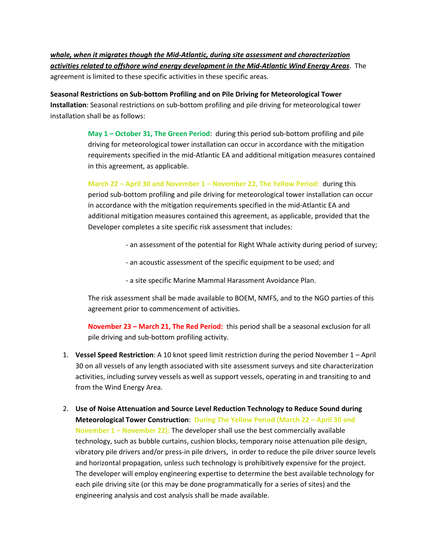*whale, when it migrates though the Mid-Atlantic, during site assessment and characterization activities related to offshore wind energy development in the Mid-Atlantic Wind Energy Areas*. The agreement is limited to these specific activities in these specific areas.

**Seasonal Restrictions on Sub-bottom Profiling and on Pile Driving for Meteorological Tower Installation**: Seasonal restrictions on sub-bottom profiling and pile driving for meteorological tower installation shall be as follows:

> **May 1 – October 31, The Green Period**: during this period sub-bottom profiling and pile driving for meteorological tower installation can occur in accordance with the mitigation requirements specified in the mid-Atlantic EA and additional mitigation measures contained in this agreement, as applicable.

> **March 22 – April 30 and November 1 – November 22, The Yellow Period:** during this period sub-bottom profiling and pile driving for meteorological tower installation can occur in accordance with the mitigation requirements specified in the mid-Atlantic EA and additional mitigation measures contained this agreement, as applicable, provided that the Developer completes a site specific risk assessment that includes:

- an assessment of the potential for Right Whale activity during period of survey;
- an acoustic assessment of the specific equipment to be used; and
- a site specific Marine Mammal Harassment Avoidance Plan.

The risk assessment shall be made available to BOEM, NMFS, and to the NGO parties of this agreement prior to commencement of activities.

**November 23 – March 21, The Red Period:** this period shall be a seasonal exclusion for all pile driving and sub-bottom profiling activity.

- 1. **Vessel Speed Restriction**: A 10 knot speed limit restriction during the period November 1 April 30 on all vessels of any length associated with site assessment surveys and site characterization activities, including survey vessels as well as support vessels, operating in and transiting to and from the Wind Energy Area.
- 2. **Use of Noise Attenuation and Source Level Reduction Technology to Reduce Sound during Meteorological Tower Construction**: **During The Yellow Period (March 22 – April 30 and November 1 – November 22):** The developer shall use the best commercially available technology, such as bubble curtains, cushion blocks, temporary noise attenuation pile design, vibratory pile drivers and/or press-in pile drivers, in order to reduce the pile driver source levels and horizontal propagation, unless such technology is prohibitively expensive for the project. The developer will employ engineering expertise to determine the best available technology for each pile driving site (or this may be done programmatically for a series of sites) and the engineering analysis and cost analysis shall be made available.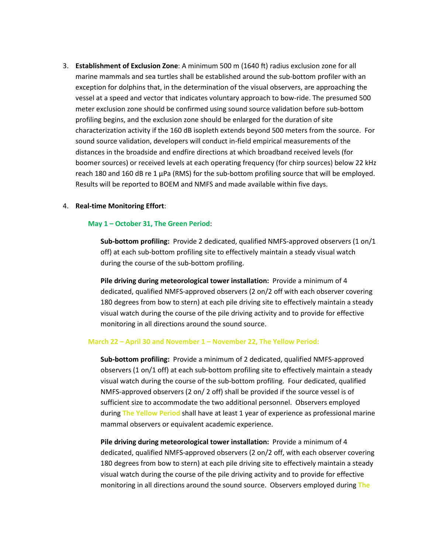3. **Establishment of Exclusion Zone**: A minimum 500 m (1640 ft) radius exclusion zone for all marine mammals and sea turtles shall be established around the sub-bottom profiler with an exception for dolphins that, in the determination of the visual observers, are approaching the vessel at a speed and vector that indicates voluntary approach to bow-ride. The presumed 500 meter exclusion zone should be confirmed using sound source validation before sub-bottom profiling begins, and the exclusion zone should be enlarged for the duration of site characterization activity if the 160 dB isopleth extends beyond 500 meters from the source. For sound source validation, developers will conduct in-field empirical measurements of the distances in the broadside and endfire directions at which broadband received levels (for boomer sources) or received levels at each operating frequency (for chirp sources) below 22 kHz reach 180 and 160 dB re 1 µPa (RMS) for the sub-bottom profiling source that will be employed. Results will be reported to BOEM and NMFS and made available within five days.

#### 4. **Real-time Monitoring Effort**:

#### **May 1 – October 31, The Green Period**:

**Sub-bottom profiling:** Provide 2 dedicated, qualified NMFS-approved observers (1 on/1 off) at each sub-bottom profiling site to effectively maintain a steady visual watch during the course of the sub-bottom profiling.

**Pile driving during meteorological tower installation:** Provide a minimum of 4 dedicated, qualified NMFS-approved observers (2 on/2 off with each observer covering 180 degrees from bow to stern) at each pile driving site to effectively maintain a steady visual watch during the course of the pile driving activity and to provide for effective monitoring in all directions around the sound source.

#### **March 22 – April 30 and November 1 – November 22, The Yellow Period:**

**Sub-bottom profiling:** Provide a minimum of 2 dedicated, qualified NMFS-approved observers (1 on/1 off) at each sub-bottom profiling site to effectively maintain a steady visual watch during the course of the sub-bottom profiling. Four dedicated, qualified NMFS-approved observers (2 on/ 2 off) shall be provided if the source vessel is of sufficient size to accommodate the two additional personnel. Observers employed during **The Yellow Period** shall have at least 1 year of experience as professional marine mammal observers or equivalent academic experience.

**Pile driving during meteorological tower installation:** Provide a minimum of 4 dedicated, qualified NMFS-approved observers (2 on/2 off, with each observer covering 180 degrees from bow to stern) at each pile driving site to effectively maintain a steady visual watch during the course of the pile driving activity and to provide for effective monitoring in all directions around the sound source. Observers employed during **The**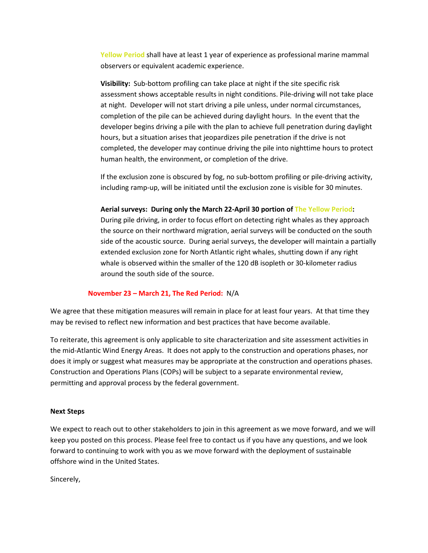**Yellow Period** shall have at least 1 year of experience as professional marine mammal observers or equivalent academic experience.

**Visibility:** Sub-bottom profiling can take place at night if the site specific risk assessment shows acceptable results in night conditions. Pile-driving will not take place at night. Developer will not start driving a pile unless, under normal circumstances, completion of the pile can be achieved during daylight hours. In the event that the developer begins driving a pile with the plan to achieve full penetration during daylight hours, but a situation arises that jeopardizes pile penetration if the drive is not completed, the developer may continue driving the pile into nighttime hours to protect human health, the environment, or completion of the drive.

If the exclusion zone is obscured by fog, no sub-bottom profiling or pile-driving activity, including ramp-up, will be initiated until the exclusion zone is visible for 30 minutes.

#### **Aerial surveys: During only the March 22-April 30 portion of The Yellow Period:**

During pile driving, in order to focus effort on detecting right whales as they approach the source on their northward migration, aerial surveys will be conducted on the south side of the acoustic source. During aerial surveys, the developer will maintain a partially extended exclusion zone for North Atlantic right whales, shutting down if any right whale is observed within the smaller of the 120 dB isopleth or 30-kilometer radius around the south side of the source.

### **November 23 – March 21, The Red Period:** N/A

We agree that these mitigation measures will remain in place for at least four years. At that time they may be revised to reflect new information and best practices that have become available.

To reiterate, this agreement is only applicable to site characterization and site assessment activities in the mid-Atlantic Wind Energy Areas. It does not apply to the construction and operations phases, nor does it imply or suggest what measures may be appropriate at the construction and operations phases. Construction and Operations Plans (COPs) will be subject to a separate environmental review, permitting and approval process by the federal government.

#### **Next Steps**

We expect to reach out to other stakeholders to join in this agreement as we move forward, and we will keep you posted on this process. Please feel free to contact us if you have any questions, and we look forward to continuing to work with you as we move forward with the deployment of sustainable offshore wind in the United States.

Sincerely,